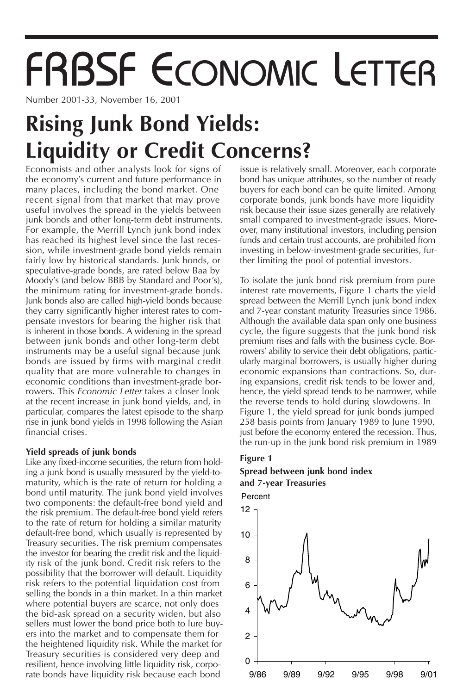# FRBSF ECONOMIC LETTER

Number 2001-33, November 16, 2001

## **Rising Junk Bond Yields: Liquidity or Credit Concerns?**

Economists and other analysts look for signs of the economy's current and future performance in many places, including the bond market. One recent signal from that market that may prove useful involves the spread in the yields between junk bonds and other long-term debt instruments. For example, the Merrill Lynch junk bond index has reached its highest level since the last recession, while investment-grade bond yields remain fairly low by historical standards. Junk bonds, or speculative-grade bonds, are rated below Baa by Moody's (and below BBB by Standard and Poor's), the minimum rating for investment-grade bonds. Junk bonds also are called high-yield bonds because they carry significantly higher interest rates to compensate investors for bearing the higher risk that is inherent in those bonds. A widening in the spread between junk bonds and other long-term debt instruments may be a useful signal because junk bonds are issued by firms with marginal credit quality that are more vulnerable to changes in economic conditions than investment-grade borrowers. This *Economic Letter* takes a closer look at the recent increase in junk bond yields, and, in particular, compares the latest episode to the sharp rise in junk bond yields in 1998 following the Asian financial crises.

#### **Yield spreads of junk bonds**

Like any fixed-income securities, the return from holding a junk bond is usually measured by the yield-tomaturity, which is the rate of return for holding a bond until maturity. The junk bond yield involves two components: the default-free bond yield and the risk premium. The default-free bond yield refers to the rate of return for holding a similar maturity default-free bond, which usually is represented by Treasury securities. The risk premium compensates the investor for bearing the credit risk and the liquidity risk of the junk bond. Credit risk refers to the possibility that the borrower will default. Liquidity risk refers to the potential liquidation cost from selling the bonds in a thin market. In a thin market where potential buyers are scarce, not only does the bid-ask spread on a security widen, but also sellers must lower the bond price both to lure buyers into the market and to compensate them for the heightened liquidity risk. While the market for Treasury securities is considered very deep and resilient, hence involving little liquidity risk, corporate bonds have liquidity risk because each bond

issue is relatively small. Moreover, each corporate bond has unique attributes, so the number of ready buyers for each bond can be quite limited. Among corporate bonds, junk bonds have more liquidity risk because their issue sizes generally are relatively small compared to investment-grade issues. Moreover, many institutional investors, including pension funds and certain trust accounts, are prohibited from investing in below-investment-grade securities, further limiting the pool of potential investors.

To isolate the junk bond risk premium from pure interest rate movements, Figure 1 charts the yield spread between the Merrill Lynch junk bond index and 7-year constant maturity Treasuries since 1986. Although the available data span only one business cycle, the figure suggests that the junk bond risk premium rises and falls with the business cycle. Borrowers' ability to service their debt obligations, particularly marginal borrowers, is usually higher during economic expansions than contractions. So, during expansions, credit risk tends to be lower and, hence, the yield spread tends to be narrower, while the reverse tends to hold during slowdowns. In Figure 1, the yield spread for junk bonds jumped 258 basis points from January 1989 to June 1990, just before the economy entered the recession. Thus, the run-up in the junk bond risk premium in 1989

#### **Figure 1**

#### **Spread between junk bond index and 7-year Treasuries**

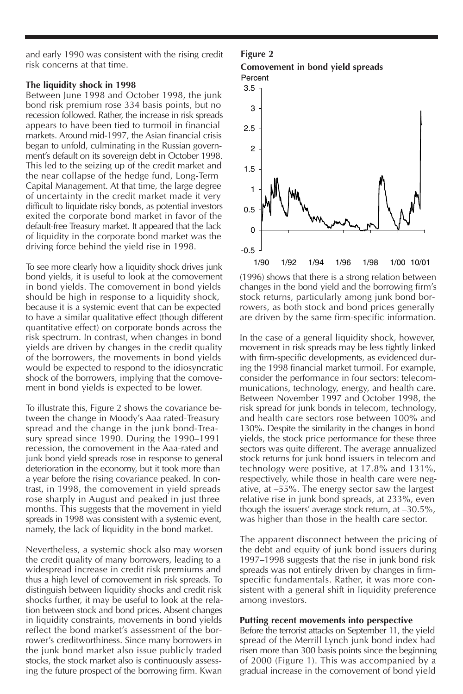and early 1990 was consistent with the rising credit risk concerns at that time.

#### **The liquidity shock in 1998**

Between June 1998 and October 1998, the junk bond risk premium rose 334 basis points, but no recession followed. Rather, the increase in risk spreads appears to have been tied to turmoil in financial markets. Around mid-1997, the Asian financial crisis began to unfold, culminating in the Russian government's default on its sovereign debt in October 1998. This led to the seizing up of the credit market and the near collapse of the hedge fund, Long-Term Capital Management. At that time, the large degree of uncertainty in the credit market made it very difficult to liquidate risky bonds, as potential investors exited the corporate bond market in favor of the default-free Treasury market. It appeared that the lack of liquidity in the corporate bond market was the driving force behind the yield rise in 1998.

To see more clearly how a liquidity shock drives junk bond yields, it is useful to look at the comovement in bond yields. The comovement in bond yields should be high in response to a liquidity shock, because it is a systemic event that can be expected to have a similar qualitative effect (though different quantitative effect) on corporate bonds across the risk spectrum. In contrast, when changes in bond yields are driven by changes in the credit quality of the borrowers, the movements in bond yields would be expected to respond to the idiosyncratic shock of the borrowers, implying that the comovement in bond yields is expected to be lower.

To illustrate this, Figure 2 shows the covariance between the change in Moody's Aaa rated-Treasury spread and the change in the junk bond-Treasury spread since 1990. During the 1990–1991 recession, the comovement in the Aaa-rated and junk bond yield spreads rose in response to general deterioration in the economy, but it took more than a year before the rising covariance peaked. In contrast, in 1998, the comovement in yield spreads rose sharply in August and peaked in just three months. This suggests that the movement in yield spreads in 1998 was consistent with a systemic event, namely, the lack of liquidity in the bond market.

Nevertheless, a systemic shock also may worsen the credit quality of many borrowers, leading to a widespread increase in credit risk premiums and thus a high level of comovement in risk spreads. To distinguish between liquidity shocks and credit risk shocks further, it may be useful to look at the relation between stock and bond prices. Absent changes in liquidity constraints, movements in bond yields reflect the bond market's assessment of the borrower's creditworthiness. Since many borrowers in the junk bond market also issue publicly traded stocks, the stock market also is continuously assessing the future prospect of the borrowing firm. Kwan

#### **Figure 2**





(1996) shows that there is a strong relation between changes in the bond yield and the borrowing firm's stock returns, particularly among junk bond borrowers, as both stock and bond prices generally are driven by the same firm-specific information.

In the case of a general liquidity shock, however, movement in risk spreads may be less tightly linked with firm-specific developments, as evidenced during the 1998 financial market turmoil. For example, consider the performance in four sectors: telecommunications, technology, energy, and health care. Between November 1997 and October 1998, the risk spread for junk bonds in telecom, technology, and health care sectors rose between 100% and 130%. Despite the similarity in the changes in bond yields, the stock price performance for these three sectors was quite different. The average annualized stock returns for junk bond issuers in telecom and technology were positive, at 17.8% and 131%, respectively, while those in health care were negative, at –55%. The energy sector saw the largest relative rise in junk bond spreads, at 233%, even though the issuers' average stock return, at –30.5%, was higher than those in the health care sector.

The apparent disconnect between the pricing of the debt and equity of junk bond issuers during 1997–1998 suggests that the rise in junk bond risk spreads was not entirely driven by changes in firmspecific fundamentals. Rather, it was more consistent with a general shift in liquidity preference among investors.

#### **Putting recent movements into perspective**

Before the terrorist attacks on September 11, the yield spread of the Merrill Lynch junk bond index had risen more than 300 basis points since the beginning of 2000 (Figure 1). This was accompanied by a gradual increase in the comovement of bond yield